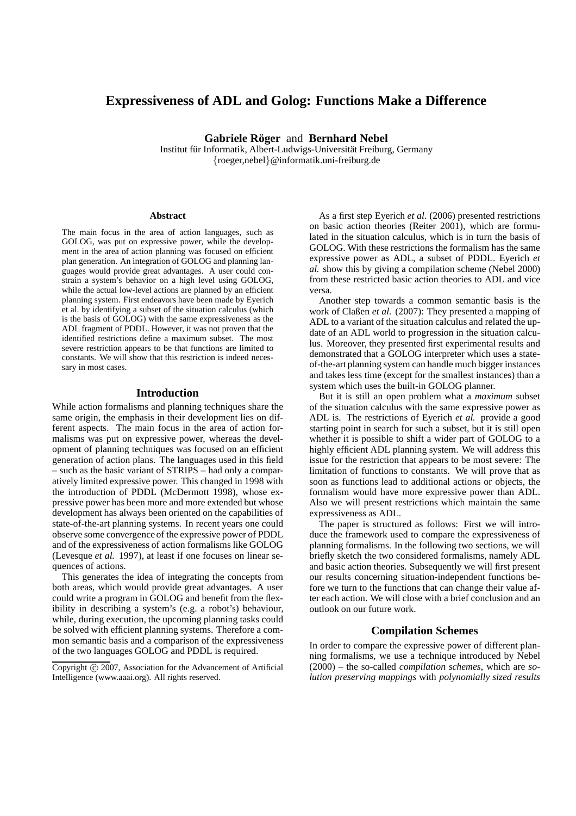# **Expressiveness of ADL and Golog: Functions Make a Difference**

**Gabriele Röger** and **Bernhard Nebel** 

Institut für Informatik, Albert-Ludwigs-Universität Freiburg, Germany {roeger,nebel}@informatik.uni-freiburg.de

#### **Abstract**

The main focus in the area of action languages, such as GOLOG, was put on expressive power, while the development in the area of action planning was focused on efficient plan generation. An integration of GOLOG and planning languages would provide great advantages. A user could constrain a system's behavior on a high level using GOLOG, while the actual low-level actions are planned by an efficient planning system. First endeavors have been made by Eyerich et al. by identifying a subset of the situation calculus (which is the basis of GOLOG) with the same expressiveness as the ADL fragment of PDDL. However, it was not proven that the identified restrictions define a maximum subset. The most severe restriction appears to be that functions are limited to constants. We will show that this restriction is indeed necessary in most cases.

## **Introduction**

While action formalisms and planning techniques share the same origin, the emphasis in their development lies on different aspects. The main focus in the area of action formalisms was put on expressive power, whereas the development of planning techniques was focused on an efficient generation of action plans. The languages used in this field – such as the basic variant of STRIPS – had only a comparatively limited expressive power. This changed in 1998 with the introduction of PDDL (McDermott 1998), whose expressive power has been more and more extended but whose development has always been oriented on the capabilities of state-of-the-art planning systems. In recent years one could observe some convergence of the expressive power of PDDL and of the expressiveness of action formalisms like GOLOG (Levesque *et al.* 1997), at least if one focuses on linear sequences of actions.

This generates the idea of integrating the concepts from both areas, which would provide great advantages. A user could write a program in GOLOG and benefit from the flexibility in describing a system's (e.g. a robot's) behaviour, while, during execution, the upcoming planning tasks could be solved with efficient planning systems. Therefore a common semantic basis and a comparison of the expressiveness of the two languages GOLOG and PDDL is required.

As a first step Eyerich *et al.* (2006) presented restrictions on basic action theories (Reiter 2001), which are formulated in the situation calculus, which is in turn the basis of GOLOG. With these restrictions the formalism has the same expressive power as ADL, a subset of PDDL. Eyerich *et al.* show this by giving a compilation scheme (Nebel 2000) from these restricted basic action theories to ADL and vice versa.

Another step towards a common semantic basis is the work of Claßen *et al.* (2007): They presented a mapping of ADL to a variant of the situation calculus and related the update of an ADL world to progression in the situation calculus. Moreover, they presented first experimental results and demonstrated that a GOLOG interpreter which uses a stateof-the-art planning system can handle much bigger instances and takes less time (except for the smallest instances) than a system which uses the built-in GOLOG planner.

But it is still an open problem what a *maximum* subset of the situation calculus with the same expressive power as ADL is. The restrictions of Eyerich *et al.* provide a good starting point in search for such a subset, but it is still open whether it is possible to shift a wider part of GOLOG to a highly efficient ADL planning system. We will address this issue for the restriction that appears to be most severe: The limitation of functions to constants. We will prove that as soon as functions lead to additional actions or objects, the formalism would have more expressive power than ADL. Also we will present restrictions which maintain the same expressiveness as ADL.

The paper is structured as follows: First we will introduce the framework used to compare the expressiveness of planning formalisms. In the following two sections, we will briefly sketch the two considered formalisms, namely ADL and basic action theories. Subsequently we will first present our results concerning situation-independent functions before we turn to the functions that can change their value after each action. We will close with a brief conclusion and an outlook on our future work.

## **Compilation Schemes**

In order to compare the expressive power of different planning formalisms, we use a technique introduced by Nebel (2000) – the so-called *compilation schemes*, which are *solution preserving mappings* with *polynomially sized results*

Copyright © 2007, Association for the Advancement of Artificial Intelligence (www.aaai.org). All rights reserved.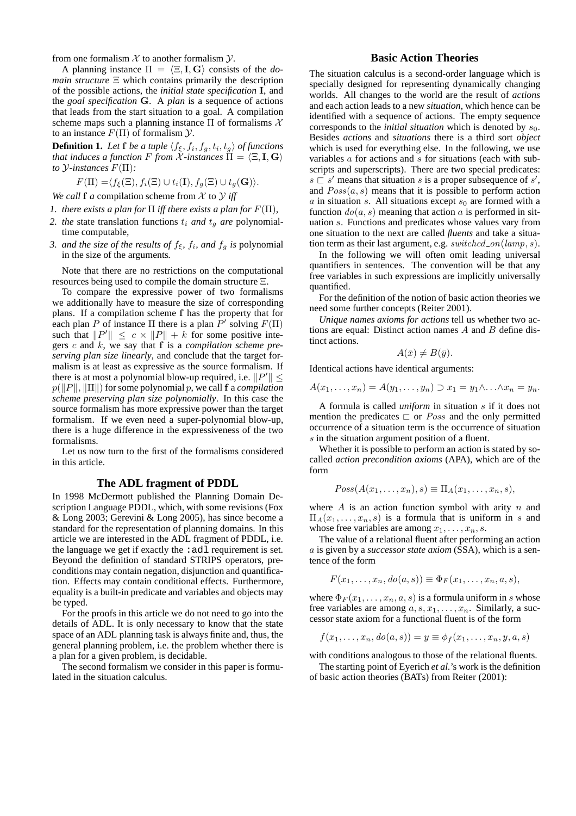from one formalism  $X$  to another formalism  $Y$ .

A planning instance  $\Pi = \langle \Xi, I, G \rangle$  consists of the *domain structure* Ξ which contains primarily the description of the possible actions, the *initial state specification* I, and the *goal specification* G. A *plan* is a sequence of actions that leads from the start situation to a goal. A compilation scheme maps such a planning instance  $\Pi$  of formalisms  $\mathcal X$ to an instance  $F(\Pi)$  of formalism  $\mathcal Y$ .

**Definition 1.** Let **f** be a tuple  $\langle f_{\xi}, f_i, f_g, t_i, t_g \rangle$  of functions *that induces a function*  $F$  *from*  $\mathcal X$ *-instances*  $\Pi = \langle \Xi, \mathbf I, \mathbf G \rangle$ *to* Y*-instances* F(Π)*:*

$$
F(\Pi) = \langle f_{\xi}(\Xi), f_i(\Xi) \cup t_i(\mathbf{I}), f_g(\Xi) \cup t_g(\mathbf{G}) \rangle.
$$

*We call* **f** *a* compilation scheme from  $X$  to  $Y$  *iff* 

- *1. there exists a plan for*  $\Pi$  *iff there exists a plan for*  $F(\Pi)$ *,*
- 2. the state translation functions  $t_i$  *and*  $t_q$  *are* polynomialtime computable*,*
- *3. and the size of the results of*  $f_{\xi}$ *,*  $f_i$ *, and*  $f_g$  *is polynomial* in the size of the arguments*.*

Note that there are no restrictions on the computational resources being used to compile the domain structure Ξ.

To compare the expressive power of two formalisms we additionally have to measure the size of corresponding plans. If a compilation scheme f has the property that for each plan P of instance  $\Pi$  there is a plan  $P'$  solving  $F(\Pi)$ such that  $||P'|| \leq c \times ||P|| + k$  for some positive integers c and k, we say that f is a *compilation scheme preserving plan size linearly*, and conclude that the target formalism is at least as expressive as the source formalism. If there is at most a polynomial blow-up required, i.e.  $||P'|| \le$  $p(||P||, ||\Pi||)$  for some polynomial p, we call f a *compilation scheme preserving plan size polynomially*. In this case the source formalism has more expressive power than the target formalism. If we even need a super-polynomial blow-up, there is a huge difference in the expressiveness of the two formalisms.

Let us now turn to the first of the formalisms considered in this article.

#### **The ADL fragment of PDDL**

In 1998 McDermott published the Planning Domain Description Language PDDL, which, with some revisions (Fox & Long 2003; Gerevini & Long 2005), has since become a standard for the representation of planning domains. In this article we are interested in the ADL fragment of PDDL, i.e. the language we get if exactly the  $:ad1$  requirement is set. Beyond the definition of standard STRIPS operators, preconditions may contain negation, disjunction and quantification. Effects may contain conditional effects. Furthermore, equality is a built-in predicate and variables and objects may be typed.

For the proofs in this article we do not need to go into the details of ADL. It is only necessary to know that the state space of an ADL planning task is always finite and, thus, the general planning problem, i.e. the problem whether there is a plan for a given problem, is decidable.

The second formalism we consider in this paper is formulated in the situation calculus.

## **Basic Action Theories**

The situation calculus is a second-order language which is specially designed for representing dynamically changing worlds. All changes to the world are the result of *actions* and each action leads to a new *situation*, which hence can be identified with a sequence of actions. The empty sequence corresponds to the *initial situation* which is denoted by  $s_0$ . Besides *actions* and *situations* there is a third sort *object* which is used for everything else. In the following, we use variables a for actions and s for situations (each with subscripts and superscripts). There are two special predicates:  $s \rvert s'$  means that situation s is a proper subsequence of s', and  $Poss(a, s)$  means that it is possible to perform action a in situation s. All situations except  $s_0$  are formed with a function  $do(a, s)$  meaning that action a is performed in situation s. Functions and predicates whose values vary from one situation to the next are called *fluents* and take a situation term as their last argument, e.g. switched on  $(lamp, s)$ .

In the following we will often omit leading universal quantifiers in sentences. The convention will be that any free variables in such expressions are implicitly universally quantified.

For the definition of the notion of basic action theories we need some further concepts (Reiter 2001).

*Unique names axioms for actions* tell us whether two actions are equal: Distinct action names  $A$  and  $B$  define distinct actions.

$$
A(\bar{x}) \neq B(\bar{y}).
$$

Identical actions have identical arguments:

 $A(x_1, \ldots, x_n) = A(y_1, \ldots, y_n) \supset x_1 = y_1 \wedge \ldots \wedge x_n = y_n.$ 

A formula is called *uniform* in situation s if it does not mention the predicates  $\Gamma$  or *Poss* and the only permitted occurrence of a situation term is the occurrence of situation s in the situation argument position of a fluent.

Whether it is possible to perform an action is stated by socalled *action precondition axioms* (APA), which are of the form

$$
Poss(A(x_1,\ldots,x_n),s)\equiv\Pi_A(x_1,\ldots,x_n,s),
$$

where  $A$  is an action function symbol with arity  $n$  and  $\Pi_A(x_1,\ldots,x_n,s)$  is a formula that is uniform in s and whose free variables are among  $x_1, \ldots, x_n, s$ .

The value of a relational fluent after performing an action a is given by a *successor state axiom* (SSA), which is a sentence of the form

$$
F(x_1,\ldots,x_n,\mathrm{do}(a,s))\equiv \Phi_F(x_1,\ldots,x_n,a,s),
$$

where  $\Phi_F(x_1, \ldots, x_n, a, s)$  is a formula uniform in s whose free variables are among  $a, s, x_1, \ldots, x_n$ . Similarly, a successor state axiom for a functional fluent is of the form

$$
f(x_1,\ldots,x_n,d\sigma(a,s))=y\equiv\phi_f(x_1,\ldots,x_n,y,a,s)
$$

with conditions analogous to those of the relational fluents.

The starting point of Eyerich *et al.*'s work is the definition of basic action theories (BATs) from Reiter (2001):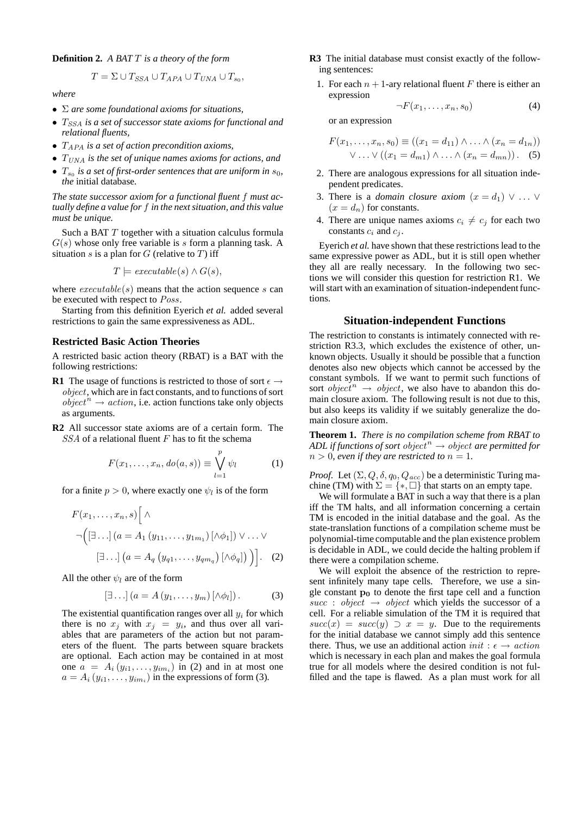#### **Definition 2.** *A BAT* T *is a theory of the form*

$$
T = \Sigma \cup T_{SSA} \cup T_{APA} \cup T_{UNA} \cup T_{s_0},
$$

*where*

- Σ *are some foundational axioms for situations,*
- $T_{SSA}$  *is a set of successor state axioms for functional and relational fluents,*
- TAPA *is a set of action precondition axioms,*
- TUNA *is the set of unique names axioms for actions, and*
- $T_{s_0}$  *is a set of first-order sentences that are uniform in*  $s_0$ , *the* initial database*.*

*The state successor axiom for a functional fluent* f *must actually define a value for* f *in the next situation, and this value must be unique.*

Such a BAT T together with a situation calculus formula  $G(s)$  whose only free variable is s form a planning task. A situation s is a plan for  $G$  (relative to  $T$ ) iff

$$
T \models \text{execute}(s) \land G(s),
$$

where  $execute(s)$  means that the action sequence s can be executed with respect to Poss.

Starting from this definition Eyerich *et al.* added several restrictions to gain the same expressiveness as ADL.

#### **Restricted Basic Action Theories**

A restricted basic action theory (RBAT) is a BAT with the following restrictions:

- **R1** The usage of functions is restricted to those of sort  $\epsilon \rightarrow$ object, which are in fact constants, and to functions of sort  $object^{n} \rightarrow action$ , i.e. action functions take only objects as arguments.
- **R2** All successor state axioms are of a certain form. The  $SSA$  of a relational fluent F has to fit the schema

$$
F(x_1,\ldots,x_n,do(a,s))\equiv \bigvee_{l=1}^p \psi_l \qquad (1)
$$

for a finite  $p > 0$ , where exactly one  $\psi_l$  is of the form

$$
F(x_1, \ldots, x_n, s) \Big[ \wedge
$$
  
\n
$$
\neg \Big( [\exists \ldots] \, (a = A_1 \, (y_{11}, \ldots, y_{1m_1}) \, [\wedge \phi_1]) \vee \ldots \vee
$$
  
\n
$$
[\exists \ldots] \, (a = A_q \, (y_{q1}, \ldots, y_{qm_q}) \, [\wedge \phi_q]) \Big) \Big]. \quad (2)
$$

All the other  $\psi_l$  are of the form

$$
[\exists \ldots] (a = A(y_1, \ldots, y_m) [\land \phi_l]). \tag{3}
$$

The existential quantification ranges over all  $y_i$  for which there is no  $x_j$  with  $x_j = y_i$ , and thus over all variables that are parameters of the action but not parameters of the fluent. The parts between square brackets are optional. Each action may be contained in at most one  $a = A_i(y_{i1},...,y_{im_i})$  in (2) and in at most one  $a = A_i(y_{i1},...,y_{im_i})$  in the expressions of form (3).

- **R3** The initial database must consist exactly of the following sentences:
	- 1. For each  $n + 1$ -ary relational fluent F there is either an expression

$$
\neg F(x_1, \ldots, x_n, s_0) \tag{4}
$$

or an expression

$$
F(x_1, \ldots, x_n, s_0) \equiv ((x_1 = d_{11}) \wedge \ldots \wedge (x_n = d_{1n}))
$$
  
 
$$
\vee \ldots \vee ((x_1 = d_{m1}) \wedge \ldots \wedge (x_n = d_{mn})).
$$
 (5)

- 2. There are analogous expressions for all situation independent predicates.
- 3. There is a *domain closure axiom*  $(x = d_1) \vee \ldots \vee$  $(x = d_n)$  for constants.
- 4. There are unique names axioms  $c_i \neq c_j$  for each two constants  $c_i$  and  $c_j$ .

Eyerich *et al.* have shown that these restrictions lead to the same expressive power as ADL, but it is still open whether they all are really necessary. In the following two sections we will consider this question for restriction R1. We will start with an examination of situation-independent functions.

## **Situation-independent Functions**

The restriction to constants is intimately connected with restriction R3.3, which excludes the existence of other, unknown objects. Usually it should be possible that a function denotes also new objects which cannot be accessed by the constant symbols. If we want to permit such functions of sort *object*<sup>n</sup>  $\rightarrow$  *object*, we also have to abandon this domain closure axiom. The following result is not due to this, but also keeps its validity if we suitably generalize the domain closure axiom.

**Theorem 1.** *There is no compilation scheme from RBAT to ADL if functions of sort object*<sup> $n$ </sup>  $\rightarrow$  *object are permitted for*  $n > 0$ , even if they are restricted to  $n = 1$ .

*Proof.* Let  $(\Sigma, Q, \delta, q_0, Q_{acc})$  be a deterministic Turing machine (TM) with  $\Sigma = \{*, \Box\}$  that starts on an empty tape.

We will formulate a BAT in such a way that there is a plan iff the TM halts, and all information concerning a certain TM is encoded in the initial database and the goal. As the state-translation functions of a compilation scheme must be polynomial-time computable and the plan existence problem is decidable in ADL, we could decide the halting problem if there were a compilation scheme.

We will exploit the absence of the restriction to represent infinitely many tape cells. Therefore, we use a single constant  $p_0$  to denote the first tape cell and a function succ : object  $\rightarrow$  object which yields the successor of a cell. For a reliable simulation of the TM it is required that  $succ(x) = succ(y) \supset x = y$ . Due to the requirements for the initial database we cannot simply add this sentence there. Thus, we use an additional action *init* :  $\epsilon \rightarrow action$ which is necessary in each plan and makes the goal formula true for all models where the desired condition is not fulfilled and the tape is flawed. As a plan must work for all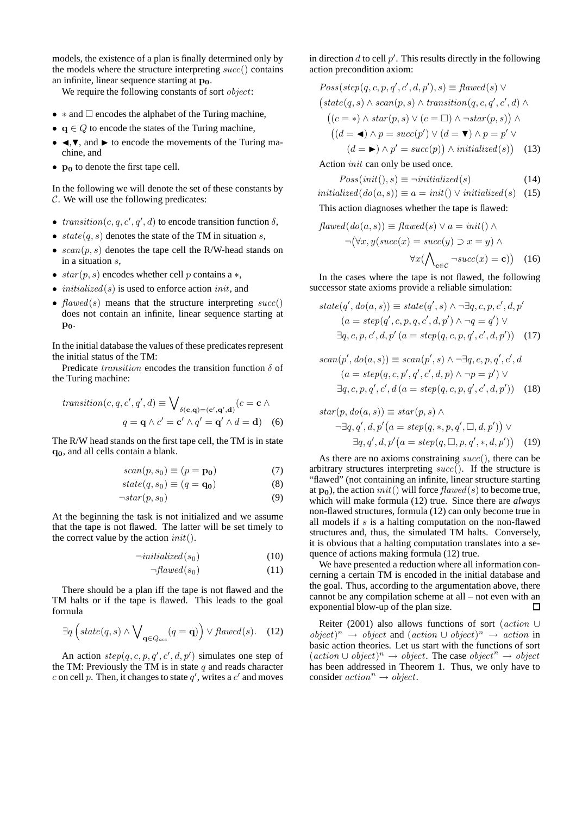models, the existence of a plan is finally determined only by the models where the structure interpreting  $succ()$  contains an infinite, linear sequence starting at  $p_0$ .

We require the following constants of sort *object*:

- $*$  and  $\Box$  encodes the alphabet of the Turing machine.
- $q \in Q$  to encode the states of the Turing machine,
- $\triangleleft, \triangledown$ , and  $\triangleright$  to encode the movements of the Turing machine, and
- $\mathbf{p}_0$  to denote the first tape cell.

In the following we will denote the set of these constants by C. We will use the following predicates:

- transition  $(c, q, c', q', d)$  to encode transition function  $\delta$ ,
- $state(q, s)$  denotes the state of the TM in situation s,
- $scan(p, s)$  denotes the tape cell the R/W-head stands on in a situation s,
- $star(p, s)$  encodes whether cell p contains a  $*,$
- *initialized*(s) is used to enforce action *init*, and
- $flawed(s)$  means that the structure interpreting  $succ()$ does not contain an infinite, linear sequence starting at  $\mathbf{p}_0$ .

In the initial database the values of these predicates represent the initial status of the TM:

Predicate *transition* encodes the transition function  $\delta$  of the Turing machine:

$$
transition(c, q, c', q', d) \equiv \bigvee_{\delta(\mathbf{c}, \mathbf{q}) = (\mathbf{c}', \mathbf{q}', \mathbf{d})} (c = \mathbf{c} \wedge
$$

$$
q = \mathbf{q} \wedge c' = \mathbf{c}' \wedge q' = \mathbf{q}' \wedge d = \mathbf{d}) \quad (6)
$$

The R/W head stands on the first tape cell, the TM is in state q0, and all cells contain a blank.

$$
scan(p, s_0) \equiv (p = \mathbf{p_0}) \tag{7}
$$

$$
state(q, s_0) \equiv (q = \mathbf{q_0}) \tag{8}
$$

$$
\neg star(p, s_0) \tag{9}
$$

At the beginning the task is not initialized and we assume that the tape is not flawed. The latter will be set timely to the correct value by the action  $init()$ .

$$
\neg \text{initialized}(s_0) \tag{10}
$$

$$
\neg \text{flawed}(s_0) \tag{11}
$$

There should be a plan iff the tape is not flawed and the TM halts or if the tape is flawed. This leads to the goal formula

$$
\exists q \left( state(q, s) \land \bigvee_{\mathbf{q} \in Q_{acc}} (q = \mathbf{q}) \right) \lor \textit{flawed}(s). \quad (12)
$$

An action  $step(q, c, p, q', c', d, p')$  simulates one step of the TM: Previously the TM is in state  $q$  and reads character c on cell p. Then, it changes to state  $q'$ , writes a c' and moves

in direction  $d$  to cell  $p'$ . This results directly in the following action precondition axiom:

$$
Poss(step(q, c, p, q', c', d, p'), s) \equiv \text{flawed}(s) \vee
$$
  
\n
$$
(state(q, s) \wedge scan(p, s) \wedge transition(q, c, q', c', d) \wedge
$$
  
\n
$$
((c = *) \wedge star(p, s) \vee (c = \Box) \wedge \neg star(p, s)) \wedge
$$
  
\n
$$
((d = \blacktriangle) \wedge p = succ(p') \vee (d = \blacktriangledown) \wedge p = p' \vee
$$
  
\n
$$
(d = \blacktriangleright) \wedge p' = succ(p)) \wedge initialized(s)) \quad (13)
$$

Action init can only be used once.

$$
Poss(int(), s) \equiv \neg initialized(s) \tag{14}
$$

$$
initialized(do(a, s)) \equiv a = init() \lor initialized(s) \quad (15)
$$

This action diagnoses whether the tape is flawed:

$$
\text{flawed}(do(a, s)) \equiv \text{flawed}(s) \lor a = init() \land \n\neg(\forall x, y(\text{succ}(x) = \text{succ}(y) \supset x = y) \land \n\forall x (\bigwedge_{\mathbf{c} \in \mathcal{C}} \neg \text{succ}(x) = \mathbf{c})) \quad (16)
$$

In the cases where the tape is not flawed, the following successor state axioms provide a reliable simulation:

$$
state(q', do(a, s)) \equiv state(q', s) \land \neg \exists q, c, p, c', d, p'
$$

$$
(a = step(q', c, p, q, c', d, p') \land \neg q = q') \lor
$$

$$
\exists q, c, p, c', d, p' (a = step(q, c, p, q', c', d, p')) \quad (17)
$$

$$
scan(p', do(a, s)) \equiv scan(p', s) \land \neg \exists q, c, p, q', c', d
$$

$$
(a = step(q, c, p', q', c', d, p) \land \neg p = p') \lor
$$

$$
\exists q, c, p, q', c', d (a = step(q, c, p, q', c', d, p')) \quad (18)
$$

$$
star(p, do(a, s)) \equiv star(p, s) \land
$$
  
\n
$$
\neg \exists q, q', d, p'(a = step(q, *, p, q', \Box, d, p')) \lor
$$
  
\n
$$
\exists q, q', d, p'(a = step(q, \Box, p, q', *, d, p')) \quad (19)
$$

As there are no axioms constraining  $succ()$ , there can be arbitrary structures interpreting  $succ()$ . If the structure is "flawed" (not containing an infinite, linear structure starting at  $\mathbf{p_0}$ ), the action *init*() will force  $flawed(s)$  to become true, which will make formula (12) true. Since there are *always* non-flawed structures, formula (12) can only become true in all models if s is a halting computation on the non-flawed structures and, thus, the simulated TM halts. Conversely, it is obvious that a halting computation translates into a sequence of actions making formula (12) true.

We have presented a reduction where all information concerning a certain TM is encoded in the initial database and the goal. Thus, according to the argumentation above, there cannot be any compilation scheme at all – not even with an exponential blow-up of the plan size.  $\Box$ 

Reiter (2001) also allows functions of sort (action ∪  $object)^n$  → object and  $(\text{action} \cup \text{object})^n$  →  $\text{action in}$ basic action theories. Let us start with the functions of sort  $(\textit{action} \cup \textit{object})^n \rightarrow \textit{object}.$  The case  $\textit{object}^n \rightarrow \textit{object}$ has been addressed in Theorem 1. Thus, we only have to consider  $action^n \rightarrow object$ .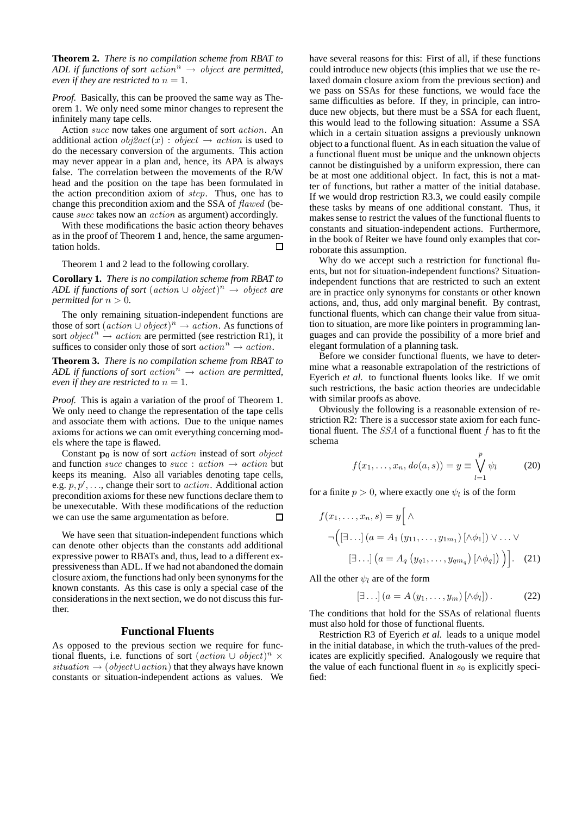**Theorem 2.** *There is no compilation scheme from RBAT to ADL if functions of sort action*<sup>n</sup>  $\rightarrow$  *object are permitted, even if they are restricted to*  $n = 1$ .

*Proof.* Basically, this can be prooved the same way as Theorem 1. We only need some minor changes to represent the infinitely many tape cells.

Action succ now takes one argument of sort action. An additional action  $obj2act(x) : object \rightarrow action$  is used to do the necessary conversion of the arguments. This action may never appear in a plan and, hence, its APA is always false. The correlation between the movements of the R/W head and the position on the tape has been formulated in the action precondition axiom of step. Thus, one has to change this precondition axiom and the SSA of flawed (because succ takes now an action as argument) accordingly.

With these modifications the basic action theory behaves as in the proof of Theorem 1 and, hence, the same argumentation holds.  $\Box$ 

Theorem 1 and 2 lead to the following corollary.

**Corollary 1.** *There is no compilation scheme from RBAT to ADL if functions of sort* (action ∪ object) <sup>n</sup> → object *are permitted for*  $n > 0$ *.* 

The only remaining situation-independent functions are those of sort  $(\text{action} \cup \text{object})^n \rightarrow \text{action}$ . As functions of sort *object*<sup>n</sup>  $\rightarrow$  *action* are permitted (see restriction R1), it suffices to consider only those of sort  $action<sup>n</sup> \rightarrow action$ .

**Theorem 3.** *There is no compilation scheme from RBAT to ADL if functions of sort*  $action<sup>n</sup> \rightarrow action$  *are permitted, even if they are restricted to*  $n = 1$ *.* 

*Proof.* This is again a variation of the proof of Theorem 1. We only need to change the representation of the tape cells and associate them with actions. Due to the unique names axioms for actions we can omit everything concerning models where the tape is flawed.

Constant  $p_0$  is now of sort *action* instead of sort *object* and function *succ* changes to *succ* :  $action \rightarrow action$  but keeps its meaning. Also all variables denoting tape cells, e.g.  $p, p', \ldots$ , change their sort to *action*. Additional action precondition axioms for these new functions declare them to be unexecutable. With these modifications of the reduction we can use the same argumentation as before.  $\Box$ 

We have seen that situation-independent functions which can denote other objects than the constants add additional expressive power to RBATs and, thus, lead to a different expressiveness than ADL. If we had not abandoned the domain closure axiom, the functions had only been synonyms for the known constants. As this case is only a special case of the considerations in the next section, we do not discuss this further.

## **Functional Fluents**

As opposed to the previous section we require for functional fluents, i.e. functions of sort  $(\text{action} \cup \text{object})^n \times$ situation  $\rightarrow$  (object ∪ action) that they always have known constants or situation-independent actions as values. We have several reasons for this: First of all, if these functions could introduce new objects (this implies that we use the relaxed domain closure axiom from the previous section) and we pass on SSAs for these functions, we would face the same difficulties as before. If they, in principle, can introduce new objects, but there must be a SSA for each fluent, this would lead to the following situation: Assume a SSA which in a certain situation assigns a previously unknown object to a functional fluent. As in each situation the value of a functional fluent must be unique and the unknown objects cannot be distinguished by a uniform expression, there can be at most one additional object. In fact, this is not a matter of functions, but rather a matter of the initial database. If we would drop restriction R3.3, we could easily compile these tasks by means of one additional constant. Thus, it makes sense to restrict the values of the functional fluents to constants and situation-independent actions. Furthermore, in the book of Reiter we have found only examples that corroborate this assumption.

Why do we accept such a restriction for functional fluents, but not for situation-independent functions? Situationindependent functions that are restricted to such an extent are in practice only synonyms for constants or other known actions, and, thus, add only marginal benefit. By contrast, functional fluents, which can change their value from situation to situation, are more like pointers in programming languages and can provide the possibility of a more brief and elegant formulation of a planning task.

Before we consider functional fluents, we have to determine what a reasonable extrapolation of the restrictions of Eyerich *et al.* to functional fluents looks like. If we omit such restrictions, the basic action theories are undecidable with similar proofs as above.

Obviously the following is a reasonable extension of restriction R2: There is a successor state axiom for each functional fluent. The  $SSA$  of a functional fluent  $f$  has to fit the schema

$$
f(x_1, ..., x_n, do(a, s)) = y \equiv \bigvee_{l=1}^{p} \psi_l \tag{20}
$$

for a finite  $p > 0$ , where exactly one  $\psi_l$  is of the form

$$
f(x_1,...,x_n,s) = y \Big[ \wedge
$$
  
\n
$$
\neg \Big( [\exists ...](a = A_1 (y_{11},...,y_{1m_1}) [\wedge \phi_1]) \vee ... \vee
$$
  
\n
$$
[\exists ...](a = A_q (y_{q1},...,y_{qm_q}) [\wedge \phi_q]) \Big) \Big]. \quad (21)
$$

All the other  $\psi_l$  are of the form

$$
[\exists \dots] (a = A(y_1, \dots, y_m) [\land \phi_l]). \tag{22}
$$

The conditions that hold for the SSAs of relational fluents must also hold for those of functional fluents.

Restriction R3 of Eyerich *et al.* leads to a unique model in the initial database, in which the truth-values of the predicates are explicitly specified. Analogously we require that the value of each functional fluent in  $s_0$  is explicitly specified: